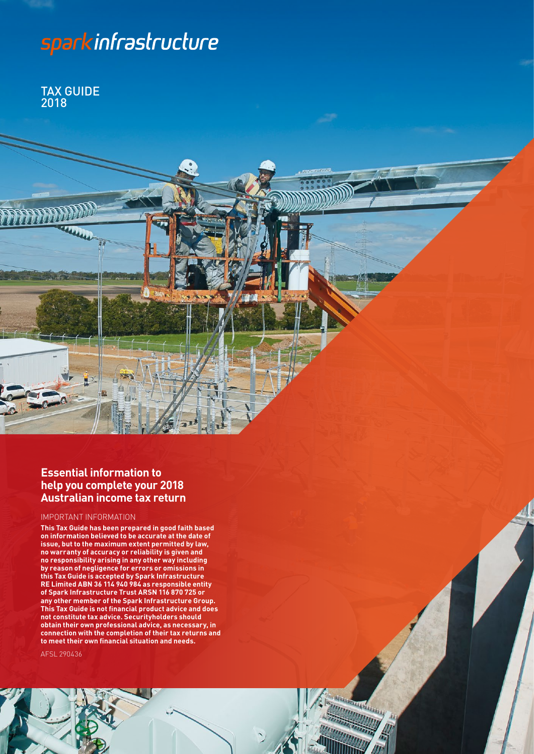# sparkinfrastructure

TAX GUIDE 2018

# **Essential information to help you complete your 2018 Australian income tax return**

#### IMPORTANT INFORMATION

**This Tax Guide has been prepared in good faith based on information believed to be accurate at the date of issue, but to the maximum extent permitted by law, no warranty of accuracy or reliability is given and no responsibility arising in any other way including by reason of negligence for errors or omissions in this Tax Guide is accepted by Spark Infrastructure RE Limited ABN 36 114 940 984 as responsible entity of Spark Infrastructure Trust ARSN 116 870 725 or any other member of the Spark Infrastructure Group. This Tax Guide is not financial product advice and does not constitute tax advice. Securityholders should obtain their own professional advice, as necessary, in connection with the completion of their tax returns and to meet their own financial situation and needs.** 

**TANKING STATE** 

AFSL 290436

1 SPARK INFRASTRUCTURE TAX GUIDE 2018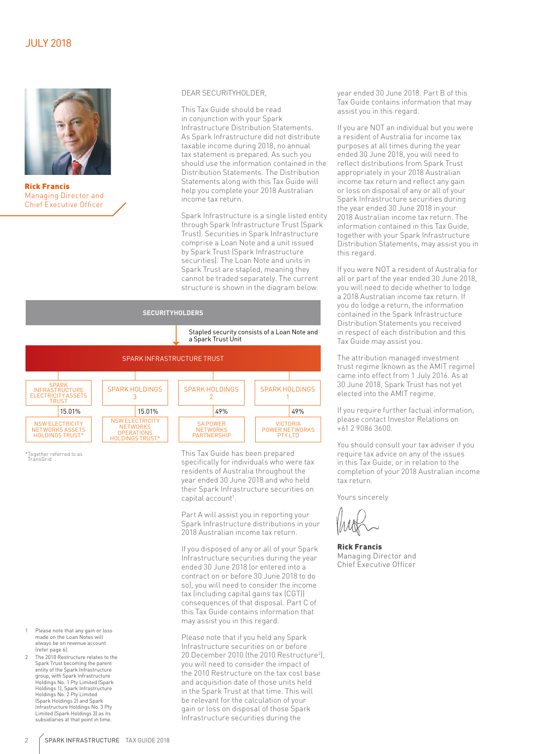

Rick Francis Managing Director and Chief Executive Officer

#### DEAR SECURITYHOLDER,

This Tax Guide should be read in conjunction with your Spark Infrastructure Distribution Statements. As Spark Infrastructure did not distribute taxable income during 2018, no annual tax statement is prepared. As such you should use the information contained in the Distribution Statements. The Distribution Statements along with this Tax Guide will help you complete your 2018 Australian income tax return.

Spark Infrastructure is a single listed entity through Spark Infrastructure Trust (Spark Trust). Securities in Spark Infrastructure comprise a Loan Note and a unit issued by Spark Trust (Spark Infrastructure securities). The Loan Note and units in Spark Trust are stapled, meaning they cannot be traded separately. The current structure is shown in the diagram below.



This Tax Guide has been prepared specifically for individuals who were tax residents of Australia throughout the year ended 30 June 2018 and who held their Spark Infrastructure securities on capital account<sup>1</sup>.

Part A will assist you in reporting your Spark Infrastructure distributions in your 2018 Australian income tax return.

If you disposed of any or all of your Spark Infrastructure securities during the year ended 30 June 2018 (or entered into a contract on or before 30 June 2018 to do so), you will need to consider the income tax (including capital gains tax (CGT)) consequences of that disposal. Part C of this Tax Guide contains information that may assist you in this regard.

Please note that if you held any Spark Infrastructure securities on or before 20 December 2010 (the 2010 Restructure<sup>2</sup>), you will need to consider the impact of the 2010 Restructure on the tax cost base and acquisition date of those units held in the Spark Trust at that time. This will be relevant for the calculation of your gain or loss on disposal of those Spark Infrastructure securities during the

year ended 30 June 2018. Part B of this Tax Guide contains information that may assist you in this regard.

If you are NOT an individual but you were a resident of Australia for income tax purposes at all times during the year ended 30 June 2018, you will need to reflect distributions from Spark Trust appropriately in your 2018 Australian income tax return and reflect any gain or loss on disposal of any or all of your Spark Infrastructure securities during the year ended 30 June 2018 in your 2018 Australian income tax return. The information contained in this Tax Guide, together with your Spark Infrastructure Distribution Statements, may assist you in this regard.

If you were NOT a resident of Australia for all or part of the year ended 30 June 2018, you will need to decide whether to lodge a 2018 Australian income tax return. If you do lodge a return, the information contained in the Spark Infrastructure Distribution Statements you received in respect of each distribution and this Tax Guide may assist you.

The attribution managed investment trust regime (known as the AMIT regime) came into effect from 1 July 2016. As at 30 June 2018, Spark Trust has not yet elected into the AMIT regime.

If you require further factual information, please contact Investor Relations on +61 2 9086 3600.

You should consult your tax adviser if you require tax advice on any of the issues in this Tax Guide, or in relation to the completion of your 2018 Australian income tax return.

Yours sincerely

Rick Francis Managing Director and Chief Executive Officer

- Please note that any gain or loss made on the Loan Notes will always be on revenue account (refer page 6).
- 2 The 2010 Restructure relates to the Spark Trust becoming the parent entity of the Spark Infrastructure group, with Spark Infrastructure Holdings No. 1 Pty Limited (Spark Holdings 1), Spark Infrastructure Holdings No. 2 Pty Limited (Spark Holdings 2) and Spark Infrastructure Holdings No. 3 Pty Limited (Spark Holdings 3) as its subsidiaries at that point in time.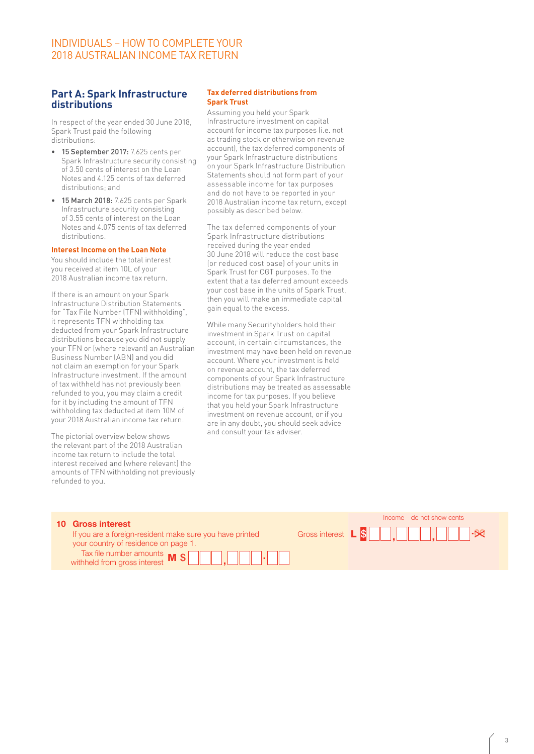# INDIVIDUALS – HOW TO COMPLETE YOUR 2018 AUSTRALIAN INCOME TAX RETURN

#### **Part A: Spark Infrastructure distributions**

In respect of the year ended 30 June 2018, Spark Trust paid the following distributions:

- 15 September 2017: 7.625 cents per Spark Infrastructure security consisting of 3.50 cents of interest on the Loan Notes and 4.125 cents of tax deferred distributions; and
- 15 March 2018: 7.625 cents per Spark Infrastructure security consisting of 3.55 cents of interest on the Loan Notes and 4.075 cents of tax deferred distributions.

#### **Interest Income on the Loan Note**

You should include the total interest you received at item 10L of your 2018 Australian income tax return.

If there is an amount on your Spark Infrastructure Distribution Statements for "Tax File Number (TFN) withholding", it represents TFN withholding tax deducted from your Spark Infrastructure distributions because you did not supply your TFN or (where relevant) an Australian Business Number (ABN) and you did not claim an exemption for your Spark Infrastructure investment. If the amount of tax withheld has not previously been or tax withheth has not previousty been<br>refunded to you, you may claim a credit for it by including the amount of TFN withholding tax deducted at item 10M of your 2018 Australian income tax return.

The pictorial overview below shows the relevant part of the 2018 Australian the relevant part of the 2018 Australian<br>income tax return to include the total states are all the states of the states of the states of the states of interest received and (where relevant) the merest received and (where retevant) the<br>amounts of TFN withholding not previously refunded to you.  $\mathcal{L}^{\text{max}}_{\text{max}}$ 

#### **Tax deferred distributions from Spark Trust**

Assuming you held your Spark Infrastructure investment on capital account for income tax purposes (i.e. not as trading stock or otherwise on revenue account), the tax deferred components of your Spark Infrastructure distributions on your Spark Infrastructure Distribution Statements should not form part of your assessable income for tax purposes and do not have to be reported in your 2018 Australian income tax return, except possibly as described below.

The tax deferred components of your Spark Infrastructure distributions received during the year ended one on the Loan Note<br>  $\frac{30 \text{ June 2018} \text{ will reduce the cost base}}{6 \text{ or reduced cost head of your units in}}$ (or reduced cost base) of your units in I at item 10L of your the send in the send in your tax return until the send in your tax requested at the senator of the senator of the senator  $\sim$  Spark Trust for CGT purposes. To the extent that a tax deferred amount exceeds your cost base in the units of Spark Trust, then you will make an immediate capital gain equal to the excess.

While many Securityholders hold their investment in Spark Trust on capital account, in certain circumstances, the investment may have been held on revenue account. Where your investment is held on revenue account, the tax deferred components of your Spark Infrastructure distributions may be treated as assessable income for tax purposes. If you believe that you held your Spark Infrastructure ithholding tax deducted at item 10M of the supercreased account, or if you investment of the supercreased by t<br>by the sum payment of the superance of the supercreased and the sum payment of the supercreased and deals advis are in any doubt, you should seek advice are many doubt, you should seek advice<br>and consult your tax adviser.

| <b>10 Gross interest</b>                                                                         |  | Income – do not show cents |  |  |
|--------------------------------------------------------------------------------------------------|--|----------------------------|--|--|
| If you are a foreign-resident make sure you have printed<br>your country of residence on page 1. |  |                            |  |  |
| Tax file number amounts $\mathbf{M}$ $\mathbf{\$}$ $\Box$ , $\Box$ $\Box$ $\Box$                 |  |                            |  |  |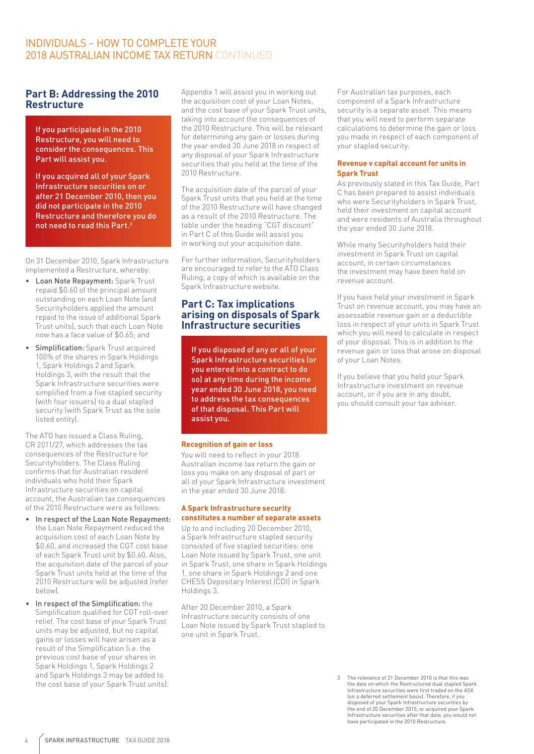# INDIVIDUALS – HOW TO COMPLETE YOUR 2018 AUSTRALIAN INCOME TAX RETURN CONTINUED

#### **Part B: Addressing the 2010 Restructure**

If you participated in the 2010 Restructure, you will need to consider the consequences. This Part will assist you.

If you acquired all of your Spark Infrastructure securities on or after 21 December 2010, then you did not participate in the 2010 Restructure and therefore you do not need to read this Part.3

On 31 December 2010, Spark Infrastructure implemented a Restructure, whereby:

- Loan Note Repayment: Spark Trust repaid \$0.60 of the principal amount outstanding on each Loan Note (and Securityholders applied the amount repaid to the issue of additional Spark Trust units), such that each Loan Note now has a face value of \$0.65; and
- Simplification: Spark Trust acquired 100% of the shares in Spark Holdings 1, Spark Holdings 2 and Spark Holdings 3, with the result that the Spark Infrastructure securities were simplified from a five stapled security (with four issuers) to a dual stapled security (with Spark Trust as the sole listed entity).

The ATO has issued a Class Ruling, CR 2011/27, which addresses the tax consequences of the Restructure for Securityholders. The Class Ruling confirms that for Australian resident individuals who hold their Spark Infrastructure securities on capital account, the Australian tax consequences of the 2010 Restructure were as follows:

- In respect of the Loan Note Repayment: the Loan Note Repayment reduced the acquisition cost of each Loan Note by \$0.60, and increased the CGT cost base of each Spark Trust unit by \$0.60. Also, the acquisition date of the parcel of your Spark Trust units held at the time of the 2010 Restructure will be adjusted (refer below).
- In respect of the Simplification: the Simplification qualified for CGT roll-over relief. The cost base of your Spark Trust units may be adjusted, but no capital gains or losses will have arisen as a result of the Simplification (i.e. the previous cost base of your shares in Spark Holdings 1, Spark Holdings 2 and Spark Holdings 3 may be added to the cost base of your Spark Trust units).

Appendix 1 will assist you in working out the acquisition cost of your Loan Notes, and the cost base of your Spark Trust units, taking into account the consequences of the 2010 Restructure. This will be relevant for determining any gain or losses during the year ended 30 June 2018 in respect of any disposal of your Spark Infrastructure securities that you held at the time of the 2010 Restructure.

The acquisition date of the parcel of your Spark Trust units that you held at the time of the 2010 Restructure will have changed as a result of the 2010 Restructure. The table under the heading "CGT discount" in Part C of this Guide will assist you in working out your acquisition date.

For further information, Securityholders are encouraged to refer to the ATO Class Ruling, a copy of which is available on the Spark Infrastructure website.

#### **Part C: Tax implications arising on disposals of Spark Infrastructure securities**

If you disposed of any or all of your Spark Infrastructure securities (or you entered into a contract to do so) at any time during the income year ended 30 June 2018, you need to address the tax consequences of that disposal. This Part will assist you.

#### **Recognition of gain or loss**

You will need to reflect in your 2018 Australian income tax return the gain or loss you make on any disposal of part or all of your Spark Infrastructure investment in the year ended 30 June 2018.

#### **A Spark Infrastructure security constitutes a number of separate assets**

Up to and including 20 December 2010, a Spark Infrastructure stapled security consisted of five stapled securities: one Loan Note issued by Spark Trust, one unit in Spark Trust, one share in Spark Holdings 1, one share in Spark Holdings 2 and one CHESS Depositary Interest (CDI) in Spark Holdings 3.

After 20 December 2010, a Spark Infrastructure security consists of one Loan Note issued by Spark Trust stapled to one unit in Spark Trust.

For Australian tax purposes, each component of a Spark Infrastructure security is a separate asset. This means that you will need to perform separate calculations to determine the gain or loss you made in respect of each component of your stapled security.

#### **Revenue v capital account for units in Spark Trust**

As previously stated in this Tax Guide, Part C has been prepared to assist individuals who were Securityholders in Spark Trust, held their investment on capital account and were residents of Australia throughout the year ended 30 June 2018.

While many Securityholders hold their investment in Spark Trust on capital account, in certain circumstances the investment may have been held on revenue account.

If you have held your investment in Spark Trust on revenue account, you may have an assessable revenue gain or a deductible loss in respect of your units in Spark Trust which you will need to calculate in respect of your disposal. This is in addition to the revenue gain or loss that arose on disposal of your Loan Notes.

If you believe that you held your Spark Infrastructure investment on revenue account, or if you are in any doubt, you should consult your tax adviser.

3 The relevance of 21 December 2010 is that this was the date on which the Restructured dual stapled Spark Infrastructure securities were first traded on the ASX (on a deferred settlement basis). Therefore, if you disposed of your Spark Infrastructure securities by the end of 20 December 2010, or acquired your Spark Infrastructure securities after that date, you would not have participated in the 2010 Restructure.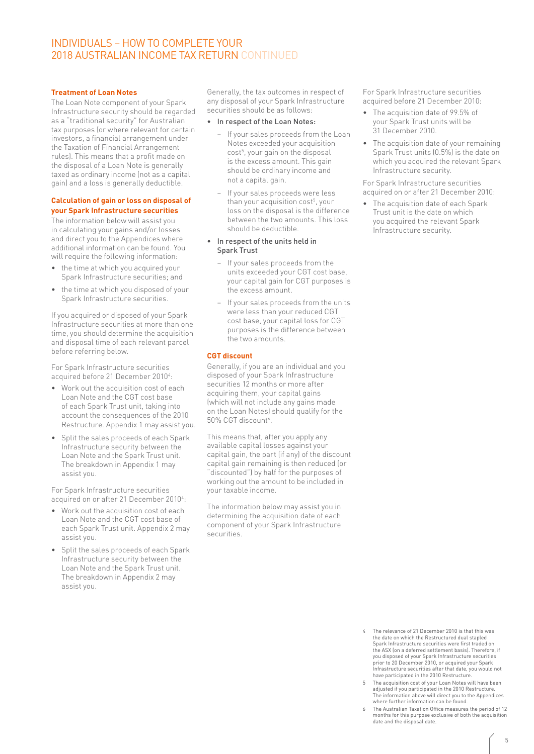### INDIVIDUALS – HOW TO COMPLETE YOUR 2018 AUSTRALIAN INCOME TAX RETURN CONTINUED

#### **Treatment of Loan Notes**

The Loan Note component of your Spark Infrastructure security should be regarded as a "traditional security" for Australian tax purposes (or where relevant for certain investors, a financial arrangement under the Taxation of Financial Arrangement rules). This means that a profit made on the disposal of a Loan Note is generally taxed as ordinary income (not as a capital gain) and a loss is generally deductible.

#### **Calculation of gain or loss on disposal of your Spark Infrastructure securities**

The information below will assist you in calculating your gains and/or losses and direct you to the Appendices where additional information can be found. You will require the following information:

- the time at which you acquired your Spark Infrastructure securities; and
- the time at which you disposed of your Spark Infrastructure securities.

If you acquired or disposed of your Spark Infrastructure securities at more than one time, you should determine the acquisition and disposal time of each relevant parcel before referring below.

For Spark Infrastructure securities acquired before 21 December 2010<sup>4</sup>:

- Work out the acquisition cost of each Loan Note and the CGT cost base of each Spark Trust unit, taking into account the consequences of the 2010 Restructure. Appendix 1 may assist you.
- Split the sales proceeds of each Spark Infrastructure security between the Loan Note and the Spark Trust unit. The breakdown in Appendix 1 may assist you.

For Spark Infrastructure securities acquired on or after 21 December 2010<sup>4</sup>:

- Work out the acquisition cost of each Loan Note and the CGT cost base of each Spark Trust unit. Appendix 2 may assist you.
- Split the sales proceeds of each Spark Infrastructure security between the Loan Note and the Spark Trust unit. The breakdown in Appendix 2 may assist you.

Generally, the tax outcomes in respect of any disposal of your Spark Infrastructure securities should be as follows:

- In respect of the Loan Notes:
	- − If your sales proceeds from the Loan Notes exceeded your acquisition cost<sup>5</sup>, your gain on the disposal is the excess amount. This gain should be ordinary income and not a capital gain.
	- − If your sales proceeds were less than your acquisition cost<sup>5</sup>, your loss on the disposal is the difference between the two amounts. This loss should be deductible.
- In respect of the units held in Spark Trust
	- − If your sales proceeds from the units exceeded your CGT cost base, your capital gain for CGT purposes is the excess amount.
	- − If your sales proceeds from the units were less than your reduced CGT cost base, your capital loss for CGT purposes is the difference between the two amounts.

#### **CGT discount**

Generally, if you are an individual and you disposed of your Spark Infrastructure securities 12 months or more after acquiring them, your capital gains (which will not include any gains made on the Loan Notes) should qualify for the 50% CGT discount<sup>6</sup>.

This means that, after you apply any available capital losses against your capital gain, the part (if any) of the discount capital gain remaining is then reduced (or "discounted") by half for the purposes of working out the amount to be included in your taxable income.

The information below may assist you in determining the acquisition date of each component of your Spark Infrastructure securities.

For Spark Infrastructure securities acquired before 21 December 2010:

- The acquisition date of 99.5% of your Spark Trust units will be 31 December 2010.
- The acquisition date of your remaining Spark Trust units (0.5%) is the date on which you acquired the relevant Spark Infrastructure security.

For Spark Infrastructure securities acquired on or after 21 December 2010:

The acquisition date of each Spark Trust unit is the date on which you acquired the relevant Spark Infrastructure security.

- The relevance of 21 December 2010 is that this was the date on which the Restructured dual stapled Spark Infrastructure securities were first traded on the ASX (on a deferred settlement basis). Therefore, if you disposed of your Spark Infrastructure securities prior to 20 December 2010, or acquired your Spark Infrastructure securities after that date, you would not have participated in the 2010 Restructure
- 5 The acquisition cost of your Loan Notes will have been adjusted if you participated in the 2010 Restructure. The information above will direct you to the Appendices where further information can be found.
- The Australian Taxation Office measures the period of 12 months for this purpose exclusive of both the acquisition date and the disposal date.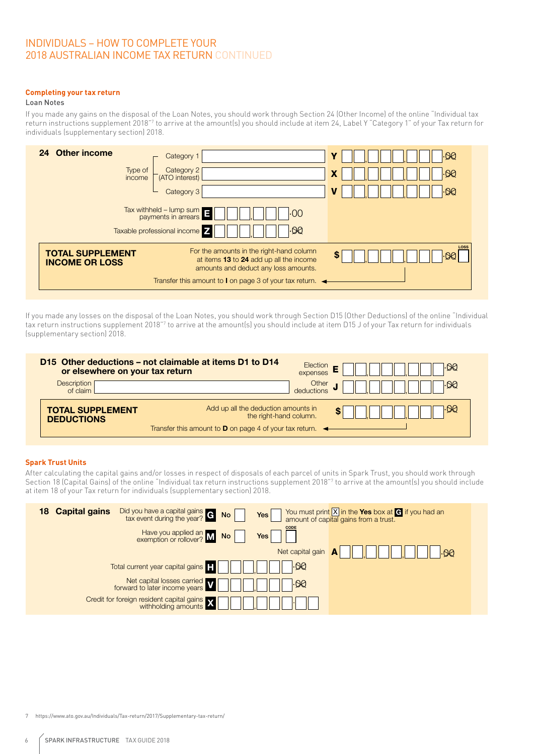# 2018 AUSTRALIAN INCOME TAX RETURN CONTINUED INDIVIDUALS – HOW TO COMPLETE YOUR

#### **Completing your tax return**

#### Loan Notes

Loan Notes<br>If you made any gains on the disposal of the Loan Notes, you should work through Section 24 (Other Income) of the online "Individual tax return instructions supplement 2018"<sup>7</sup> to arrive at the amount(s) you should include at item 24, Label Y "Category 1" of your Tax return for<br>individuals foundsmestery sestion! 2019 individuals (supplementary section) 2018. , <sup>A</sup> , .00 **lotes**<br>nade any gains on the disposal of the Loan Notes, you should work through Section 24 (Other Income) of the online "Individi

| 24 Other income<br>Type of<br>income             | Category 1<br>Category 2<br>(ATO interest)<br>Category 3                                                                                                                                                           | ାପ<br>$\overline{\omega}$<br>X<br>$\overline{\otimes}$ |
|--------------------------------------------------|--------------------------------------------------------------------------------------------------------------------------------------------------------------------------------------------------------------------|--------------------------------------------------------|
|                                                  | $\frac{1}{2}$ Tax withheld – lump sum $\frac{1}{2}$<br>.00<br>Taxable professional income 7<br>QQ                                                                                                                  |                                                        |
| <b>TOTAL SUPPLEMENT</b><br><b>INCOME OR LOSS</b> | For the amounts in the right-hand column<br>at items 13 to 24 add up all the income<br>amounts and deduct any loss amounts.<br>Transfer this amount to <b>I</b> on page 3 of your tax return. $\blacktriangleleft$ | LOSS<br>\$<br>୦ଯ                                       |

tax return instructions supplement 2018"<sup>7</sup> to arrive at the amount(s) you should include at item D15 J of your Tax return for individuals<br>Isupplementary section) 2018 If you made any losses on the disposal of the Loan Notes, you should work through Section D15 (Other Deductions) of the online "Individual<br>tax return instructions supplement 2018"? to arrive at the amount(s) you should inc (supplementary section) 2018.  $\mathcal{L}$  Forestrian general scheme deduction ,  $\mathcal{L}$  ,  $\mathcal{L}$  , ...

| D15 Other deductions – not claimable at items D1 to D14<br>or elsewhere on your tax return | Election<br>I.QQ<br>expenses                                                                                                                                |
|--------------------------------------------------------------------------------------------|-------------------------------------------------------------------------------------------------------------------------------------------------------------|
| <b>Description</b><br>of claim                                                             | Other<br>deductions<br>। 90                                                                                                                                 |
| <b>TOTAL SUPPLEMENT</b><br><b>DEDUCTIONS</b>                                               | Add up all the deduction amounts in<br>⊦90<br>the right-hand column.<br>Transfer this amount to <b>D</b> on page 4 of your tax return. $\blacktriangleleft$ |
|                                                                                            |                                                                                                                                                             |

#### **Spark Trust Units**

open mast sime<br>After calculating the capital gains and/or losses in respect of disposals of each parcel of units in Spark Trust, you should work through D14 Forestry managed investment scheme deduction , <sup>F</sup> , .00 TAX RETURN FOR INDIVIDUALS (supplementary section) 2018 Sensitive (when completed) Page 15 at item 18 of your Tax return for individuals (supplementary section) 2018. deposits or repayments Section 18 (Capital Gains) of the online "Individual tax return instructions supplement 2018"<sup>7</sup> to arrive at the amount(s) you should include<br>at item 18 of your Tax return for individuals (supplementary section) 2018.

| <b>Capital gains</b><br>18 | Did you have a capital gains $\overline{G}$ No $\overline{a}$ | Yes                       | You must print $\boxed{X}$ in the Yes box at $\boxed{G}$ if you had an amount of capital gains from a trust. |
|----------------------------|---------------------------------------------------------------|---------------------------|--------------------------------------------------------------------------------------------------------------|
|                            | Have you applied an M No [                                    | <b>CODE</b><br><b>Yes</b> |                                                                                                              |
|                            |                                                               | Net capital gain          | ୠ                                                                                                            |
|                            | Total current year capital gains <b>T</b>                     | .ପପ                       |                                                                                                              |
|                            | Net capital losses carried<br>forward to later income years   | ⊦9Q                       |                                                                                                              |
|                            | Credit for foreign resident capital gains <b>X</b>            |                           |                                                                                                              |

,  $\frac{1}{\sqrt{2}}$  ,  $\frac{1}{\sqrt{2}}$  ,  $\frac{1}{\sqrt{2}}$  ,  $\frac{1}{\sqrt{2}}$  ,  $\frac{1}{\sqrt{2}}$  ,  $\frac{1}{\sqrt{2}}$  ,  $\frac{1}{\sqrt{2}}$  ,  $\frac{1}{\sqrt{2}}$  ,  $\frac{1}{\sqrt{2}}$  ,  $\frac{1}{\sqrt{2}}$  ,  $\frac{1}{\sqrt{2}}$  ,  $\frac{1}{\sqrt{2}}$  ,  $\frac{1}{\sqrt{2}}$  ,  $\frac{1}{\sqrt{2}}$  ,  $\frac{1}{\sqrt{$ 7 https://www.ato.gov.au/Individuals/Tax-return/2017/Supplementary-tax-return/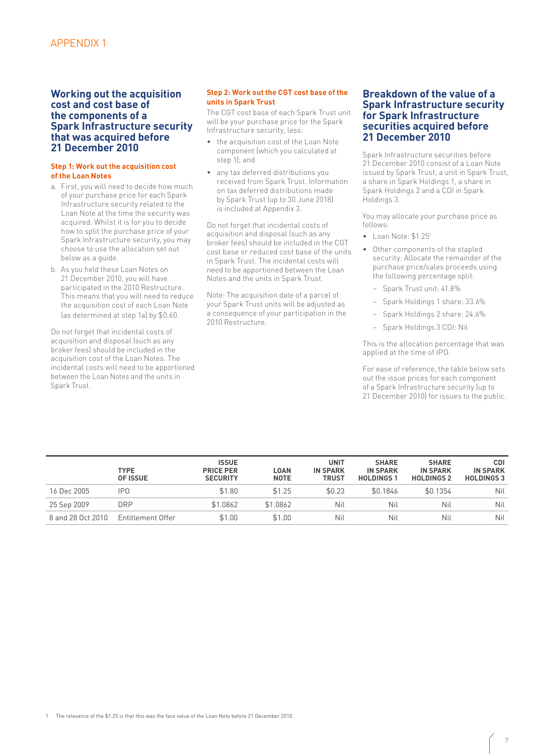#### **Working out the acquisition cost and cost base of the components of a Spark Infrastructure security that was acquired before 21 December 2010**

#### **Step 1: Work out the acquisition cost of the Loan Notes**

- a. First, you will need to decide how much of your purchase price for each Spark Infrastructure security related to the Loan Note at the time the security was acquired. Whilst it is for you to decide how to split the purchase price of your Spark Infrastructure security, you may choose to use the allocation set out below as a guide.
- b. As you held these Loan Notes on 21 December 2010, you will have participated in the 2010 Restructure. This means that you will need to reduce the acquisition cost of each Loan Note (as determined at step 1a) by \$0.60.

Do not forget that incidental costs of acquisition and disposal (such as any broker fees) should be included in the acquisition cost of the Loan Notes. The incidental costs will need to be apportioned between the Loan Notes and the units in Spark Trust.

#### **Step 2: Work out the CGT cost base of the units in Spark Trust**

The CGT cost base of each Spark Trust unit will be your purchase price for the Spark Infrastructure security, less:

- the acquisition cost of the Loan Note component (which you calculated at step 1); and
- any tax deferred distributions you received from Spark Trust. Information on tax deferred distributions made by Spark Trust (up to 30 June 2018) is included at Appendix 3.

Do not forget that incidental costs of acquisition and disposal (such as any broker fees) should be included in the CGT cost base or reduced cost base of the units in Spark Trust. The incidental costs will need to be apportioned between the Loan Notes and the units in Spark Trust.

Note: The acquisition date of a parcel of your Spark Trust units will be adjusted as a consequence of your participation in the 2010 Restructure.

#### **Breakdown of the value of a Spark Infrastructure security for Spark Infrastructure securities acquired before 21 December 2010**

Spark Infrastructure securities before 21 December 2010 consist of a Loan Note issued by Spark Trust, a unit in Spark Trust, a share in Spark Holdings 1, a share in Spark Holdings 2 and a CDI in Spark Holdings 3.

You may allocate your purchase price as follows:

- Loan Note: \$1.251
- Other components of the stapled security: Allocate the remainder of the purchase price/sales proceeds using the following percentage split:
	- − Spark Trust unit: 41.8%
	- − Spark Holdings 1 share: 33.6%
	- − Spark Holdings 2 share: 24.6%
	- − Spark Holdings 3 CDI: Nil

This is the allocation percentage that was applied at the time of IPO.

For ease of reference, the table below sets out the issue prices for each component of a Spark Infrastructure security (up to 21 December 2010) for issues to the public.

|                   | <b>TYPE</b><br>OF ISSUE | <b>ISSUE</b><br><b>PRICE PER</b><br><b>SECURITY</b> | <b>LOAN</b><br><b>NOTE</b> | <b>UNIT</b><br><b>IN SPARK</b><br><b>TRUST</b> | <b>SHARE</b><br><b>IN SPARK</b><br><b>HOLDINGS1</b> | <b>SHARE</b><br><b>IN SPARK</b><br><b>HOLDINGS 2</b> | <b>CDI</b><br><b>IN SPARK</b><br><b>HOLDINGS 3</b> |
|-------------------|-------------------------|-----------------------------------------------------|----------------------------|------------------------------------------------|-----------------------------------------------------|------------------------------------------------------|----------------------------------------------------|
| 16 Dec 2005       | IP <sub>0</sub>         | \$1.80                                              | \$1.25                     | \$0.23                                         | \$0.1846                                            | \$0.1354                                             | Nil                                                |
| 25 Sep 2009       | <b>DRP</b>              | \$1.0862                                            | \$1.0862                   | Nil                                            | Nil                                                 | Nil                                                  | Nil                                                |
| 8 and 28 Oct 2010 | Entitlement Offer       | \$1.00                                              | \$1.00                     | Nil                                            | Nil                                                 | Nil                                                  | Nil                                                |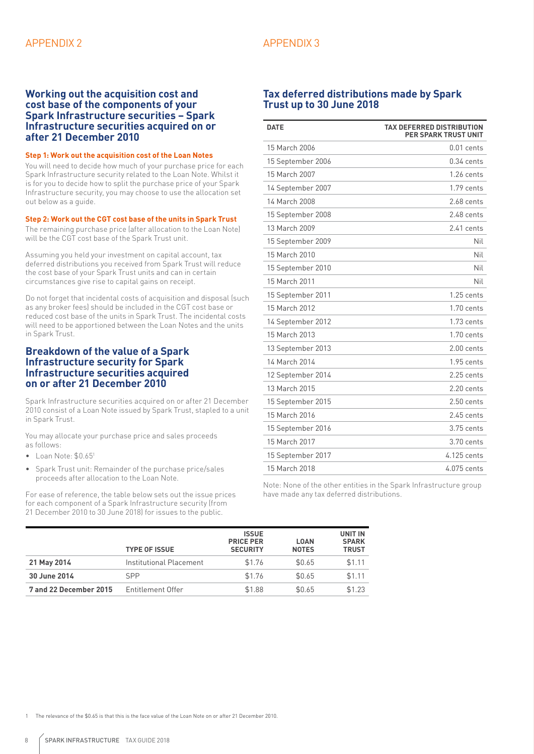#### **Working out the acquisition cost and cost base of the components of your Spark Infrastructure securities – Spark Infrastructure securities acquired on or after 21 December 2010**

#### **Step 1: Work out the acquisition cost of the Loan Notes**

You will need to decide how much of your purchase price for each Spark Infrastructure security related to the Loan Note. Whilst it is for you to decide how to split the purchase price of your Spark Infrastructure security, you may choose to use the allocation set out below as a guide.

#### **Step 2: Work out the CGT cost base of the units in Spark Trust**

The remaining purchase price (after allocation to the Loan Note) will be the CGT cost base of the Spark Trust unit.

Assuming you held your investment on capital account, tax deferred distributions you received from Spark Trust will reduce the cost base of your Spark Trust units and can in certain circumstances give rise to capital gains on receipt.

Do not forget that incidental costs of acquisition and disposal (such as any broker fees) should be included in the CGT cost base or reduced cost base of the units in Spark Trust. The incidental costs will need to be apportioned between the Loan Notes and the units in Spark Trust.

#### **Breakdown of the value of a Spark Infrastructure security for Spark Infrastructure securities acquired on or after 21 December 2010**

Spark Infrastructure securities acquired on or after 21 December 2010 consist of a Loan Note issued by Spark Trust, stapled to a unit in Spark Trust.

You may allocate your purchase price and sales proceeds as follows:

- $\bullet$  Loan Note:  $$0.651$
- Spark Trust unit: Remainder of the purchase price/sales proceeds after allocation to the Loan Note.

For ease of reference, the table below sets out the issue prices for each component of a Spark Infrastructure security (from 21 December 2010 to 30 June 2018) for issues to the public.

#### **Tax deferred distributions made by Spark Trust up to 30 June 2018**

| <b>DATE</b>       | <b>TAX DEFERRED DISTRIBUTION</b><br><b>PER SPARK TRUST UNIT</b> |
|-------------------|-----------------------------------------------------------------|
| 15 March 2006     | $0.01$ cents                                                    |
| 15 September 2006 | $0.34$ cents                                                    |
| 15 March 2007     | $1.26$ cents                                                    |
| 14 September 2007 | 1.79 cents                                                      |
| 14 March 2008     | 2.68 cents                                                      |
| 15 September 2008 | 2.48 cents                                                      |
| 13 March 2009     | 2.41 cents                                                      |
| 15 September 2009 | Nil                                                             |
| 15 March 2010     | Nil                                                             |
| 15 September 2010 | Nil                                                             |
| 15 March 2011     | Nil                                                             |
| 15 September 2011 | $1.25$ cents                                                    |
| 15 March 2012     | $1.70$ cents                                                    |
| 14 September 2012 | $1.73$ cents                                                    |
| 15 March 2013     | $1.70$ cents                                                    |
| 13 September 2013 | $2.00$ cents                                                    |
| 14 March 2014     | $1.95$ cents                                                    |
| 12 September 2014 | $2.25$ cents                                                    |
| 13 March 2015     | $2.20$ cents                                                    |
| 15 September 2015 | $2.50$ cents                                                    |
| 15 March 2016     | $2.45$ cents                                                    |
| 15 September 2016 | 3.75 cents                                                      |
| 15 March 2017     | 3.70 cents                                                      |
| 15 September 2017 | 4.125 cents                                                     |
| 15 March 2018     | 4.075 cents                                                     |

Note: None of the other entities in the Spark Infrastructure group have made any tax deferred distributions.

|                        | <b>TYPE OF ISSUE</b>    | <b>ISSUE</b><br><b>PRICE PER</b><br><b>SECURITY</b> | <b>LOAN</b><br><b>NOTES</b> | <b>UNIT IN</b><br><b>SPARK</b><br><b>TRUST</b> |
|------------------------|-------------------------|-----------------------------------------------------|-----------------------------|------------------------------------------------|
| 21 May 2014            | Institutional Placement | \$1.76                                              | \$0.65                      | \$1.11                                         |
| 30 June 2014           | <b>SPP</b>              | \$1.76                                              | \$0.65                      | \$1.11                                         |
| 7 and 22 December 2015 | Entitlement Offer       | \$1.88                                              | \$0.65                      | \$1.23                                         |